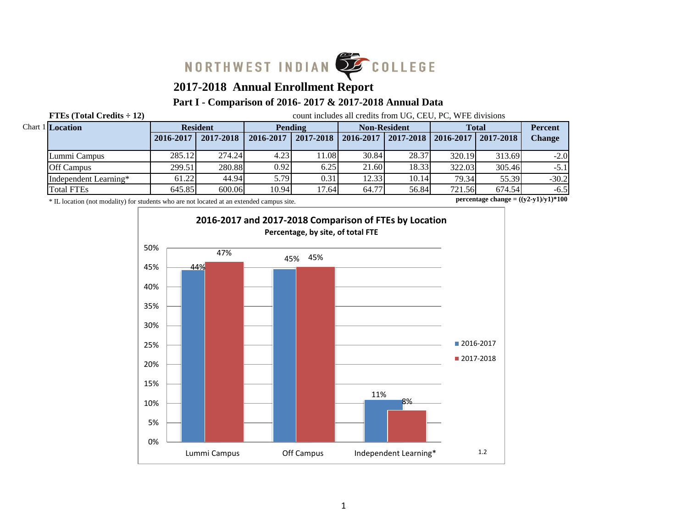

# **2017-2018 Annual Enrollment Report**

#### **Part I - Comparison of 2016- 2017 & 2017-2018 Annual Data**

**FTEs (Total Credits**  $\div$  **12)** count includes all credits from UG, CEU, PC, WFE divisions

| <b>Chart 1 Location</b> |           | <b>Resident</b> |           | Pending   |           | <b>Non-Resident</b>               |        | <b>Total</b> |               |
|-------------------------|-----------|-----------------|-----------|-----------|-----------|-----------------------------------|--------|--------------|---------------|
|                         | 2016-2017 | 2017-2018       | 2016-2017 | 2017-2018 | 2016-2017 | 2017-2018   2016-2017   2017-2018 |        |              | <b>Change</b> |
| Lummi Campus            | 285.12    | 274.24          | 4.23      | 1.08      | 30.84     | 28.37                             | 320.19 | 313.69       | $-2.0$        |
| <b>Off Campus</b>       | 299.51    | 280.88          | 0.92      | 6.25      | 21.60     | 18.33                             | 322.03 | 305.46       | $-5.1$        |
| Independent Learning*   | 61.22     | 44.94           | 5.79      | 0.31      | 12.33     | 10.14                             | 79.34  | 55.39        | $-30.2$       |
| <b>Total FTEs</b>       | 645.85    | 600.06          | 10.94     | 17.64     | 64.77     | 56.84                             | 721.56 | 674.54       | $-6.5$        |

\* IL location (not modality) for students who are not located at an extended campus site.

**percentage change = ((y2-y1)/y1)\*100**

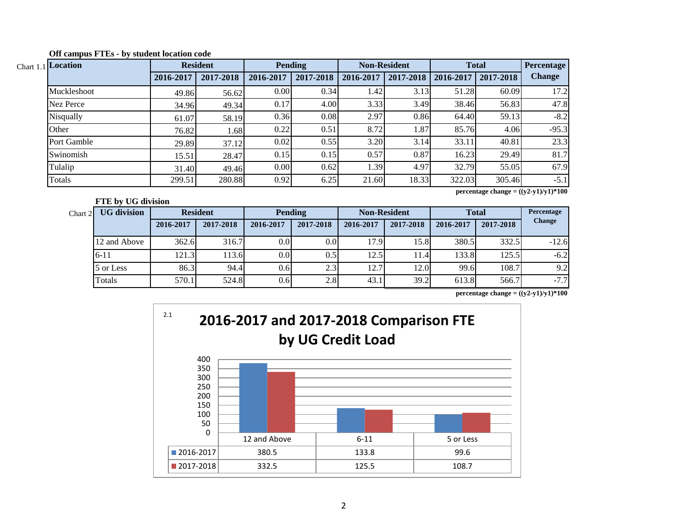| Chart 1.1 Location |           | <b>Resident</b> |           | <b>Pending</b> |           | <b>Non-Resident</b> | <b>Total</b> |           | <b>Percentage</b> |
|--------------------|-----------|-----------------|-----------|----------------|-----------|---------------------|--------------|-----------|-------------------|
|                    | 2016-2017 | 2017-2018       | 2016-2017 | 2017-2018      | 2016-2017 | 2017-2018           | 2016-2017    | 2017-2018 | <b>Change</b>     |
| Muckleshoot        | 49.86     | 56.62           | 0.00      | 0.34           | 1.42      | 3.13                | 51.28        | 60.09     | 17.2              |
| Nez Perce          | 34.96     | 49.34           | 0.17      | 4.00           | 3.33      | 3.49                | 38.46        | 56.83     | 47.8              |
| Nisqually          | 61.07     | 58.19           | 0.36      | 0.08           | 2.97      | 0.86                | 64.40        | 59.13     | $-8.2$            |
| Other              | 76.82     | 1.68            | 0.22      | 0.51           | 8.72      | 1.87                | 85.76        | 4.06      | $-95.3$           |
| Port Gamble        | 29.89     | 37.12           | 0.02      | 0.55           | 3.20      | 3.14                | 33.11        | 40.81     | 23.3              |
| Swinomish          | 15.51     | 28.47           | 0.15      | 0.15           | 0.57      | 0.87                | 16.23        | 29.49     | 81.7              |
| Tulalip            | 31.40     | 49.46           | 0.00      | 0.62           | 1.39      | 4.97                | 32.79        | 55.05     | 67.9              |
| Totals             | 299.51    | 280.88          | 0.92      | 6.25           | 21.60     | 18.33               | 322.03       | 305.46    | $-5.1$            |

**Off campus FTEs - by student location code**

**FTE by UG division**

**percentage change = ((y2-y1)/y1)\*100**

| Chart 2 | <b>UG</b> division |           | <b>Resident</b> | <b>Pending</b>   |           | <b>Non-Resident</b> |           | <b>Total</b> |           | Percentage    |
|---------|--------------------|-----------|-----------------|------------------|-----------|---------------------|-----------|--------------|-----------|---------------|
|         |                    | 2016-2017 | 2017-2018       | 2016-2017        | 2017-2018 | 2016-2017           | 2017-2018 | 2016-2017    | 2017-2018 | <b>Change</b> |
|         | 12 and Above       | 362.6     | 316.7           | 0.0              | 0.0       | 17.9                | 15.8      | 380.5        | 332.5     | $-12.6$       |
|         | $6 - 11$           | 121.3     | 113.6           | 0.0 <sub>l</sub> | 0.5       | 12.5                | 11.4      | 133.8        | 125.5     | $-6.2$        |
|         | 5 or Less          | 86.3      | 94.4            | 0.6              | 2.3       | 12.7                | 12.0      | 99.6         | 108.7     | 9.2           |
|         | Totals             | 570.1     | 524.8           | 0.6              | 2.8       | 43.1                | 39.2      | 613.8        | 566.7     | $-7.7$        |

**percentage change = ((y2-y1)/y1)\*100**

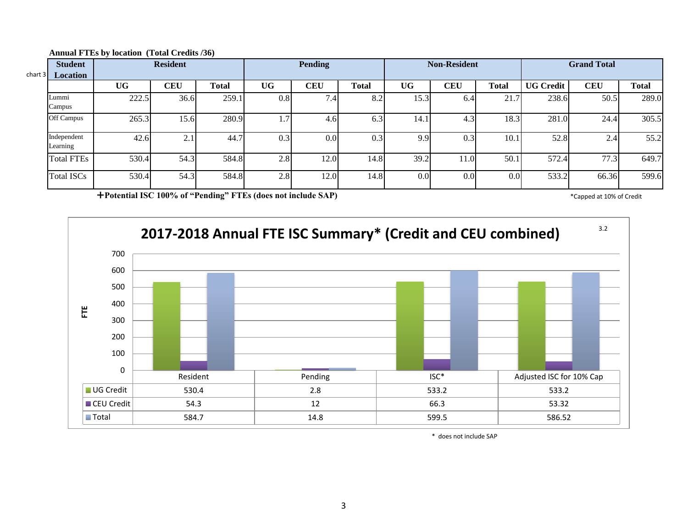| chart $3\blacksquare$ | <b>Student</b><br><b>Location</b> | <b>Resident</b> |            |       |     | <b>Pending</b>   |              | <b>Non-Resident</b> |            |              | <b>Grand Total</b> |            |              |
|-----------------------|-----------------------------------|-----------------|------------|-------|-----|------------------|--------------|---------------------|------------|--------------|--------------------|------------|--------------|
|                       |                                   | <b>UG</b>       | <b>CEU</b> | Total | UG  | <b>CEU</b>       | <b>Total</b> | UG-                 | <b>CEU</b> | <b>Total</b> | <b>UG Credit</b>   | <b>CEU</b> | <b>Total</b> |
|                       | Lummi<br>Campus                   | 222.5           | 36.6       | 259.1 | 0.8 | 7.4 <sub>1</sub> | 8.2          | 15.3                | 6.41       | 21.7         | 238.6              | 50.5       | 289.0        |
|                       | Off Campus                        | 265.3           | 15.6       | 280.9 | 1.7 | 4.6              | 6.3          | 14.1                | 4.3        | 18.3         | 281.0              | 24.4       | 305.5        |
|                       | Independent<br>Learning           | 42.6            | ◠<br>4.    | 44.7  | 0.3 | 0.01             | 0.3          | 9.9                 | 0.3        | 10.1         | 52.8               | 2.4        | 55.2         |
|                       | <b>Total FTEs</b>                 | 530.4           | 54.3       | 584.8 | 2.8 | 12.0             | 14.8         | 39.2                | 11.0       | 50.1         | 572.4              | 77.3       | 649.7        |
|                       | <b>Total ISCs</b>                 | 530.4           | 54.3       | 584.8 | 2.8 | 12.0             | 14.8         | 0.0 <sub>l</sub>    | 0.0        | 0.0          | 533.2              | 66.36      | 599.6        |

#### **Annual FTEs by location (Total Credits /36)**

**Potential ISC 100% of "Pending" FTEs (does not include SAP)** \* Capped at 10% of Credit \* Capped at 10% of Credit



\* does not include SAP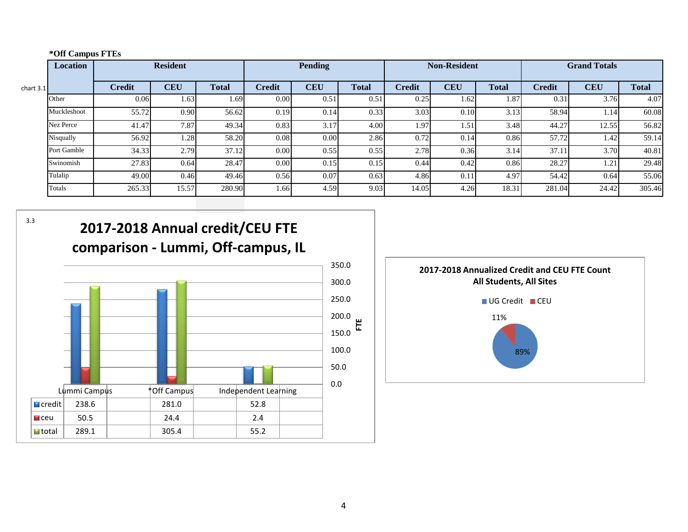|  | *Off Campus FTEs |  |
|--|------------------|--|
|--|------------------|--|

|             | Location    |               | <b>Resident</b> |              |               | <b>Pending</b> |              |        | <b>Non-Resident</b> |              |               | <b>Grand Totals</b> |              |
|-------------|-------------|---------------|-----------------|--------------|---------------|----------------|--------------|--------|---------------------|--------------|---------------|---------------------|--------------|
| chart $3.1$ |             | <b>Credit</b> | <b>CEU</b>      | <b>Total</b> | <b>Credit</b> | <b>CEU</b>     | <b>Total</b> | Credit | <b>CEU</b>          | <b>Total</b> | <b>Credit</b> | <b>CEU</b>          | <b>Total</b> |
|             | Other       | 0.06          | 1.63            | 1.69         | 0.00          | 0.51           | 0.51         | 0.25   | 1.62                | 1.87'        | 0.31          | 3.76                | 4.07         |
|             | Muckleshoot | 55.72         | 0.90            | 56.62        | 0.19          | 0.14           | 0.33         | 3.03   | 0.10                | 3.13         | 58.94         | 1.14                | 60.08        |
|             | Nez Perce   | 41.47         | 7.87            | 49.34        | 0.83          | 3.17           | 4.00         | 1.97   | 1.51                | 3.48         | 44.27         | 12.55               | 56.82        |
|             | Nisqually   | 56.92         | 1.28            | 58.20        | 0.08          | 0.00           | 2.86         | 0.72   | 0.14                | 0.86         | 57.72         | 1.42                | 59.14        |
|             | Port Gamble | 34.33         | 2.79            | 37.12        | 0.00          | 0.55           | 0.55         | 2.78   | 0.36                | 3.14         | 37.11         | 3.70                | 40.81        |
|             | Swinomish   | 27.83         | 0.64            | 28.47        | 0.00          | 0.15           | 0.15         | 0.44   | 0.42                | 0.86         | 28.27         | 1.21                | 29.48        |
|             | Tulalip     | 49.00         | 0.46            | 49.46        | 0.56          | 0.07           | 0.63         | 4.86   | 0.11                | 4.97         | 54.42         | 0.64                | 55.06        |
|             | Totals      | 265.33        | 15.57           | 280.90       | 1.66          | 4.59           | 9.03         | 14.05  | 4.26                | 18.31        | 281.04        | 24.42               | 305.46       |

3.3



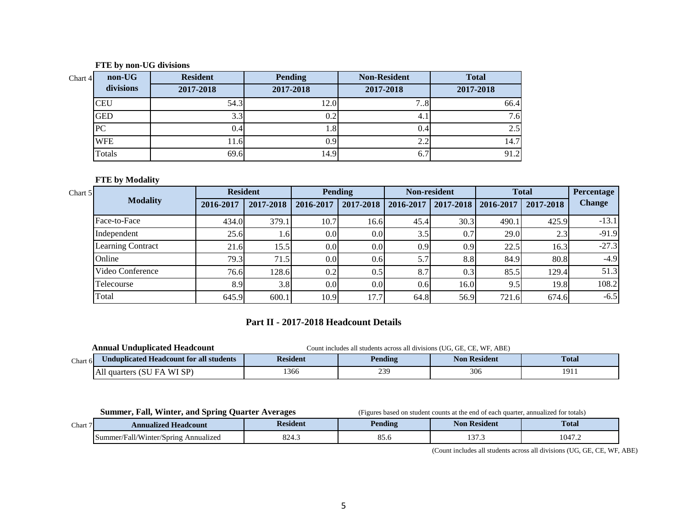#### **FTE by non-UG divisions**

| non-UG<br>Chart 4 | <b>Resident</b> | <b>Pending</b> | <b>Non-Resident</b> | <b>Total</b> |
|-------------------|-----------------|----------------|---------------------|--------------|
| divisions         | 2017-2018       | 2017-2018      | 2017-2018           | 2017-2018    |
| <b>CEU</b>        | 54.3            | 12.0           | ⇁<br>18             | 66.4         |
| <b>GED</b>        | 3.3             |                | 4.1                 | 7.6          |
| PC                | (0.4)           | 1. O           | 0.4                 | 2.5          |
| <b>WFE</b>        | $11.6^{\circ}$  | 0.9            | 2.2                 | 14.7         |
| Totals            | 69.6            | 14.9           | 6.7                 | 91.2         |

#### **FTE by Modality**

| Chart 5 |                          | <b>Resident</b> |                  |                  | <b>Pending</b>   |           | <b>Non-resident</b>   |       | <b>Total</b> | <b>Percentage</b> |
|---------|--------------------------|-----------------|------------------|------------------|------------------|-----------|-----------------------|-------|--------------|-------------------|
|         | <b>Modality</b>          | 2016-2017       | 2017-2018        | 2016-2017        | 2017-2018        | 2016-2017 | 2017-2018   2016-2017 |       | 2017-2018    | <b>Change</b>     |
|         | Face-to-Face             | 434.0           | 379.1            | 10.7             | 16.6             | 45.4      | 30.3                  | 490.1 | 425.9        | $-13.1$           |
|         | Independent              | 25.6            | 1.6 <sub>l</sub> | 0.0 <sub>l</sub> | 0.0 <sub>l</sub> | 3.5       | 0.7                   | 29.0  | 2.3          | $-91.9$           |
|         | <b>Learning Contract</b> | 21.6            | 15.5             | 0.0 <sub>l</sub> | 0.0 <sub>l</sub> | 0.9       | 0.9                   | 22.5  | 16.3         | $-27.3$           |
|         | Online                   | 79.3            | 71.5             | 0.0 <sub>l</sub> | 0.6              | 5.7       | 8.8                   | 84.9  | 80.8         | $-4.9$            |
|         | Video Conference         | 76.6            | 128.6            | 0.2              | 0.5              | 8.7       | 0.3                   | 85.5  | 129.4        | 51.3              |
|         | Telecourse               | 8.9             | 3.8              | 0.0 <sub>l</sub> | 0.0              | 0.6       | 16.0                  | 9.5   | 19.8         | 108.2             |
|         | Total                    | 645.9           | 600.1            | 10.9             | 17.7             | 64.8      | 56.9                  | 721.6 | 674.6        | $-6.5$            |

## **Part II - 2017-2018 Headcount Details**

|          | ' Unduplicated Headcount<br>Annual             | WF. ABE)<br>Count includes all students across all divisions (UG, GE, CE, |         |                     |                      |  |  |  |
|----------|------------------------------------------------|---------------------------------------------------------------------------|---------|---------------------|----------------------|--|--|--|
| Chart 61 | <b>Jnduplicated Headcount for all students</b> | <b>Resident</b>                                                           | Pending | <b>Non Resident</b> | <b>Total</b>         |  |  |  |
|          | All<br>WI SP)<br>I quarters (SU<br>- H A       | 1366                                                                      | 239     | 306                 | 10 <sup>1</sup><br>. |  |  |  |

**Summer, Fall, Winter, and Spring Quarter Averages** (Figures based on student counts at the end of each quarter, annualized for totals)

| $\sim$<br>Chart | <b>Annualized</b><br><b>Headcount</b>                          | sident        | Pending | Kesident      | <b>Total</b> |  |
|-----------------|----------------------------------------------------------------|---------------|---------|---------------|--------------|--|
|                 | 11 /TT<br>'Spring<br>ʻall<br>.summer/<br>Annualized<br>∕ inter | $\sim$<br>…⊤… | 0J.U    | $\sim$<br>ن ر | 047.2        |  |

(Count includes all students across all divisions (UG, GE, CE, WF, ABE)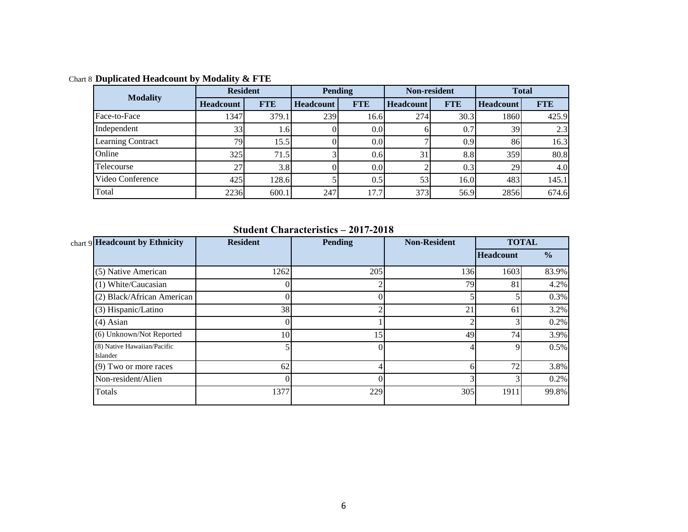| <b>Modality</b>          | <b>Resident</b>  |            |                  | <b>Pending</b>   |                  | Non-resident     | <b>Total</b>     |            |  |
|--------------------------|------------------|------------|------------------|------------------|------------------|------------------|------------------|------------|--|
|                          | <b>Headcount</b> | <b>FTE</b> | <b>Headcount</b> | <b>FTE</b>       | <b>Headcount</b> | <b>FTE</b>       | <b>Headcount</b> | <b>FTE</b> |  |
| Face-to-Face             | 1347             | 379.1      | 239              | 16.6             | 274              | 30.3             | 1860             | 425.9      |  |
| Independent              | 33               | 1.61       |                  | 0.0              |                  | 0.7              | 39               | 2.3        |  |
| <b>Learning Contract</b> | 79               | 15.5       |                  | 0.0 <sub>l</sub> |                  | 0.9 <sup>°</sup> | 86               | 16.3       |  |
| Online                   | 325              | 71.5       |                  | 0.6              | 31               | 8.8              | 359              | 80.8       |  |
| Telecourse               | 27 <sub>l</sub>  | 3.8        |                  | 0.0              |                  | 0.3              | <b>29</b>        | 4.0        |  |
| Video Conference         | 425              | 128.6      |                  | 0.5              | 53               | 16.0             | 483              | 145.1      |  |
| Total                    | 2236             | 600.1      | 247              | 17.7             | 373              | 56.9             | 2856             | 674.6      |  |

Chart 8 **Duplicated Headcount by Modality & FTE**

## **Student Characteristics – 2017-2018**

| chart 9 Headcount by Ethnicity          | <b>Resident</b> | <b>Pending</b> | <b>Non-Resident</b> |                  | <b>TOTAL</b>  |
|-----------------------------------------|-----------------|----------------|---------------------|------------------|---------------|
|                                         |                 |                |                     | <b>Headcount</b> | $\frac{6}{6}$ |
| (5) Native American                     | 1262            | 205            | 136                 | 1603             | 83.9%         |
| (1) White/Caucasian                     |                 | ◠              | 79                  | 81               | 4.2%          |
| (2) Black/African American              |                 |                |                     |                  | 0.3%          |
| (3) Hispanic/Latino                     | 38              | ◠              | 21                  | 61               | 3.2%          |
| $(4)$ Asian                             |                 |                |                     |                  | 0.2%          |
| (6) Unknown/Not Reported                | 10              | 15             | 49                  | 74               | 3.9%          |
| (8) Native Hawaiian/Pacific<br>Islander |                 | $\Omega$       |                     |                  | 0.5%          |
| (9) Two or more races                   | 62              |                | n                   | 72               | 3.8%          |
| Non-resident/Alien                      |                 | $\Omega$       |                     |                  | 0.2%          |
| Totals                                  | 1377            | 229            | 305                 | 1911             | 99.8%         |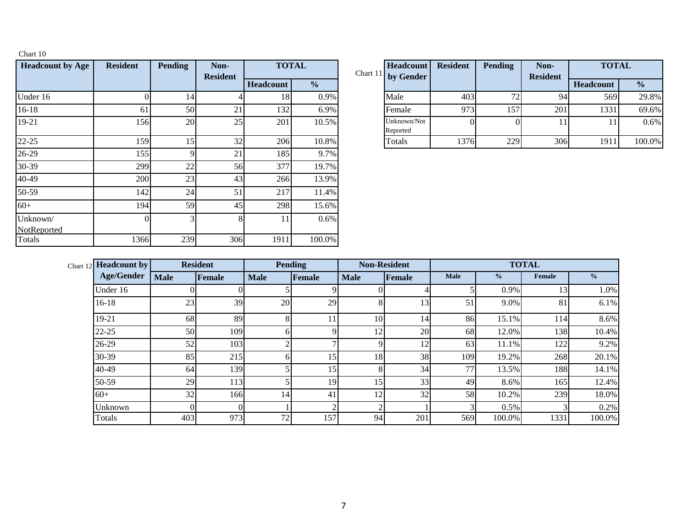| <b>Headcount by Age</b> | <b>Resident</b> | <b>Pending</b> | Non-<br><b>Resident</b> | <b>TOTAL</b> |               | Chart 11 | Headcount<br>by Gender  |
|-------------------------|-----------------|----------------|-------------------------|--------------|---------------|----------|-------------------------|
|                         |                 |                |                         | Headcount    | $\frac{0}{0}$ |          |                         |
| Under 16                |                 | 14             |                         | 18           | 0.9%          |          | Male                    |
| 16-18                   | 61              | 50             | 21                      | 132          | 6.9%          |          | Female                  |
| 19-21                   | 156             | 20             | 25                      | 201          | 10.5%         |          | Unknown/Not<br>Reported |
| $22 - 25$               | 159             | 15             | 32                      | 206          | 10.8%         |          | Totals                  |
| 26-29                   | 155             | 9              | 21                      | 185          | 9.7%          |          |                         |
| 30-39                   | 299             | 22             | 56                      | 377          | 19.7%         |          |                         |
| 40-49                   | 200             | 23             | 43                      | 266          | 13.9%         |          |                         |
| 50-59                   | 142             | 24             | 51                      | 217          | 11.4%         |          |                         |
| $60+$                   | 194             | 59             | 45                      | 298          | 15.6%         |          |                         |
| Unknown/<br>NotReported | $\Omega$        | 3              | 8                       | 11           | 0.6%          |          |                         |
| Totals                  | 1366            | 239            | 306                     | 1911         | 100.0%        |          |                         |

Chart 10

|     | <b>Pending</b> | Non-<br><b>Resident</b> | <b>TOTAL</b>     |               | <b>Headcount</b><br>Chart 11 by Gender | <b>Resident</b> | <b>Pending</b> | Non-<br><b>Resident</b> | <b>TOTAL</b>     |               |
|-----|----------------|-------------------------|------------------|---------------|----------------------------------------|-----------------|----------------|-------------------------|------------------|---------------|
|     |                |                         | <b>Headcount</b> | $\frac{0}{2}$ |                                        |                 |                |                         | <b>Headcount</b> | $\frac{0}{0}$ |
|     |                |                         | 18               | 0.9%          | Male                                   | 403             |                | 94                      | 569              | 29.8%         |
| 61  | 50             | 21                      | 132              | 6.9%          | Female                                 | 973             | 157            | 201                     | 1331             | 69.6%         |
| 156 | <b>20</b>      | 25                      | 201              | 10.5%         | Unknown/Not<br>Reported                |                 |                |                         |                  | 0.6%          |
| 159 |                | 32                      | 206              | 10.8%         | Totals                                 | 1376            | 229            | 306                     | 1911             | 100.0%        |

| <b>Headcount by</b><br>Chart $12$ |             | <b>Resident</b> |             | <b>Pending</b> |             | <b>Non-Resident</b> |             | <b>TOTAL</b>  |               |               |  |
|-----------------------------------|-------------|-----------------|-------------|----------------|-------------|---------------------|-------------|---------------|---------------|---------------|--|
| <b>Age/Gender</b>                 | <b>Male</b> | <b>Female</b>   | <b>Male</b> | Female         | <b>Male</b> | Female              | <b>Male</b> | $\frac{6}{9}$ | <b>Female</b> | $\frac{1}{2}$ |  |
| Under 16                          | $\Omega$    |                 |             | ۵ı             |             |                     |             | 0.9%          | 13            | 1.0%          |  |
| $16-18$                           | 23          | 39              | 20          | 29             | 8           | 13                  | 51          | 9.0%          | 81            | 6.1%          |  |
| 19-21                             | 68          | 89              | 8           | 11             | 10          | 14                  | 86          | 15.1%         | 114           | 8.6%          |  |
| 22-25                             | 50          | 109             | 61          | Q              | 12          | 20                  | 68          | 12.0%         | 138           | 10.4%         |  |
| 26-29                             | 52          | 103             | ◠           |                | Q           | 12                  | 63          | 11.1%         | 122           | 9.2%          |  |
| 30-39                             | 85          | 215             | 61          | 15             | 18          | 38                  | 109         | 19.2%         | 268           | 20.1%         |  |
| 40-49                             | 64          | 139             |             | 15             | 8           | 34                  | 77          | 13.5%         | 188           | 14.1%         |  |
| 50-59                             | 29          | 113             |             | 19             | 15          | 33                  | 49          | 8.6%          | 165           | 12.4%         |  |
| $60+$                             | 32          | 166             | 14          | 41             | 12          | 32                  | 58          | 10.2%         | 239           | 18.0%         |  |
| Unknown                           | 0           |                 |             | ◠              | ◠           |                     |             | 0.5%          |               | 0.2%          |  |
| Totals                            | 403         | 973             | 72          | 157            | 94          | 201                 | 569         | 100.0%        | 1331          | 100.0%        |  |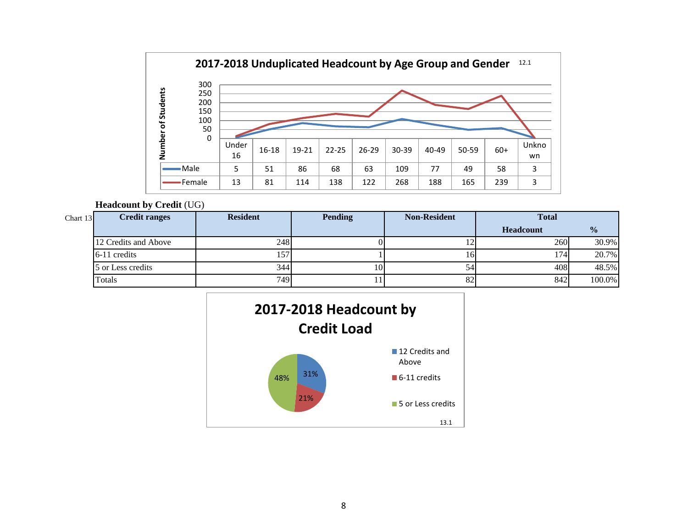

#### **Headcount by Credit** (UG)

| Chart $13$ | <b>Credit ranges</b> | <b>Resident</b> | <b>Pending</b> | <b>Non-Resident</b> | <b>Total</b>     |               |
|------------|----------------------|-----------------|----------------|---------------------|------------------|---------------|
|            |                      |                 |                |                     | <b>Headcount</b> | $\frac{1}{2}$ |
|            | 12 Credits and Above | 248             |                | $\overline{1}$      | 260              | 30.9%         |
|            | 6-11 credits         | 157             |                | 161                 | 174              | 20.7%         |
|            | 5 or Less credits    | 344             | 10I            | 54                  | 408              | 48.5%         |
|            | Totals               | 749             |                | 82                  | 842              | 100.0%        |

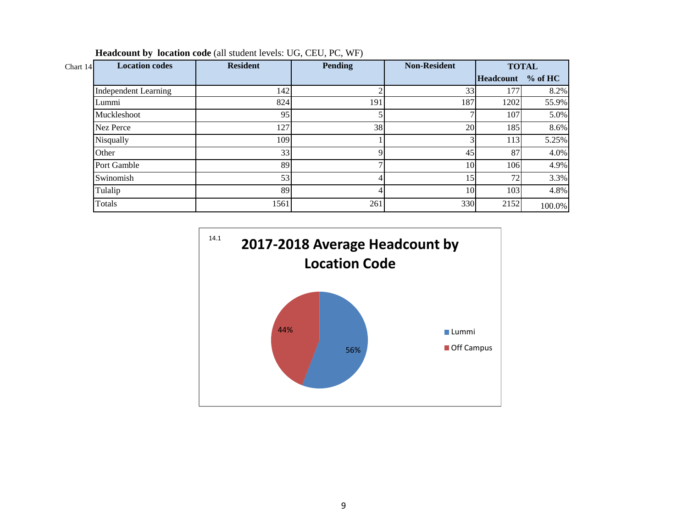| <b>Location codes</b><br>Chart $14$ | <b>Resident</b> | Pending | <b>Non-Resident</b> | <b>TOTAL</b>     |            |
|-------------------------------------|-----------------|---------|---------------------|------------------|------------|
|                                     |                 |         |                     | <b>Headcount</b> | $\%$ of HC |
| <b>Independent Learning</b>         | 142             |         | 33                  | 177              | 8.2%       |
| Lummi                               | 824             | 191     | 187                 | 1202             | 55.9%      |
| Muckleshoot                         | 95              |         |                     | 107              | 5.0%       |
| Nez Perce                           | 127             | 38      | 20                  | 185              | 8.6%       |
| Nisqually                           | 109             |         |                     | 113              | 5.25%      |
| Other                               | 33              |         | 45                  | 87               | 4.0%       |
| Port Gamble                         | 89              |         | 10 <sup> </sup>     | 106              | 4.9%       |
| Swinomish                           | 53              |         | ا 5                 | 72               | 3.3%       |
| Tulalip                             | 89              |         | 10                  | 103              | 4.8%       |
| Totals                              | 1561            | 261     | 330                 | 2152             | 100.0%     |

**Headcount by location code** (all student levels: UG, CEU, PC, WF)

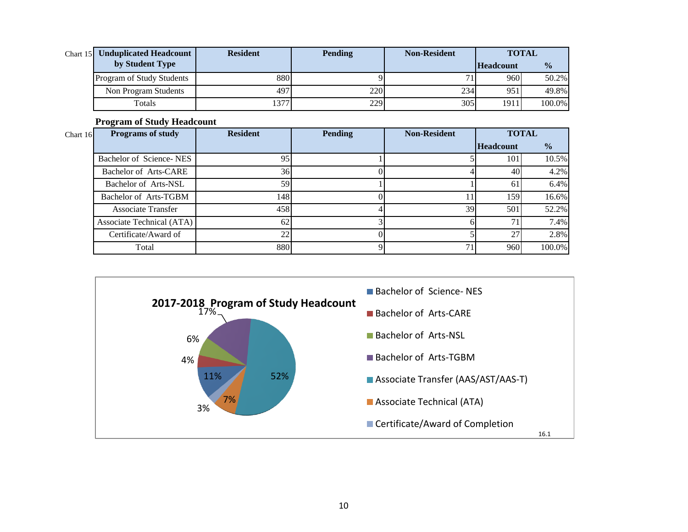| <b>Chart 15 Unduplicated Headcount</b> | <b>Resident</b> | <b>Pending</b> | <b>Non-Resident</b> | <b>TOTAL</b>     |               |  |
|----------------------------------------|-----------------|----------------|---------------------|------------------|---------------|--|
| by Student Type                        |                 |                |                     | <b>Headcount</b> | $\frac{0}{0}$ |  |
| <b>Program of Study Students</b>       | 880             |                |                     | 960              | 50.2%         |  |
| Non Program Students                   | 497             | 2201           | 234                 | 951              | 49.8%         |  |
| Totals                                 | 1377            | 229            | 305                 | 1911             | 100.0%        |  |

## **Program of Study Headcount**

| Chart 16 | <b>Programs of study</b>  | <b>Resident</b> | <b>Pending</b> | <b>Non-Resident</b> | <b>TOTAL</b>     |               |
|----------|---------------------------|-----------------|----------------|---------------------|------------------|---------------|
|          |                           |                 |                |                     | <b>Headcount</b> | $\frac{6}{6}$ |
|          | Bachelor of Science-NES   | 95              |                |                     | 101              | 10.5%         |
|          | Bachelor of Arts-CARE     | 36              |                |                     | 40               | 4.2%          |
|          | Bachelor of Arts-NSL      | 59              |                |                     | 61               | 6.4%          |
|          | Bachelor of Arts-TGBM     | 148             |                |                     | 159              | 16.6%         |
|          | <b>Associate Transfer</b> | 458             |                | 39                  | 501              | 52.2%         |
|          | Associate Technical (ATA) | 62              |                |                     |                  | 7.4%          |
|          | Certificate/Award of      | 22              |                |                     | 27               | 2.8%          |
|          | Total                     | 880             |                | 71                  | 960              | 100.0%        |